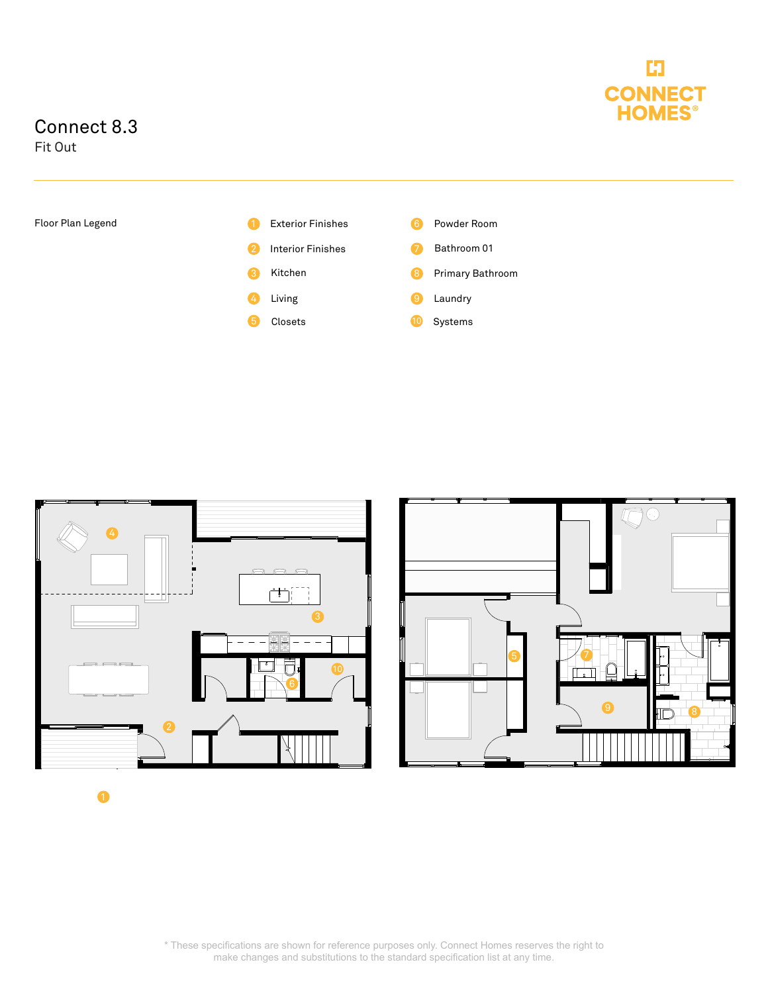

## Connect 8.3

Fit Out





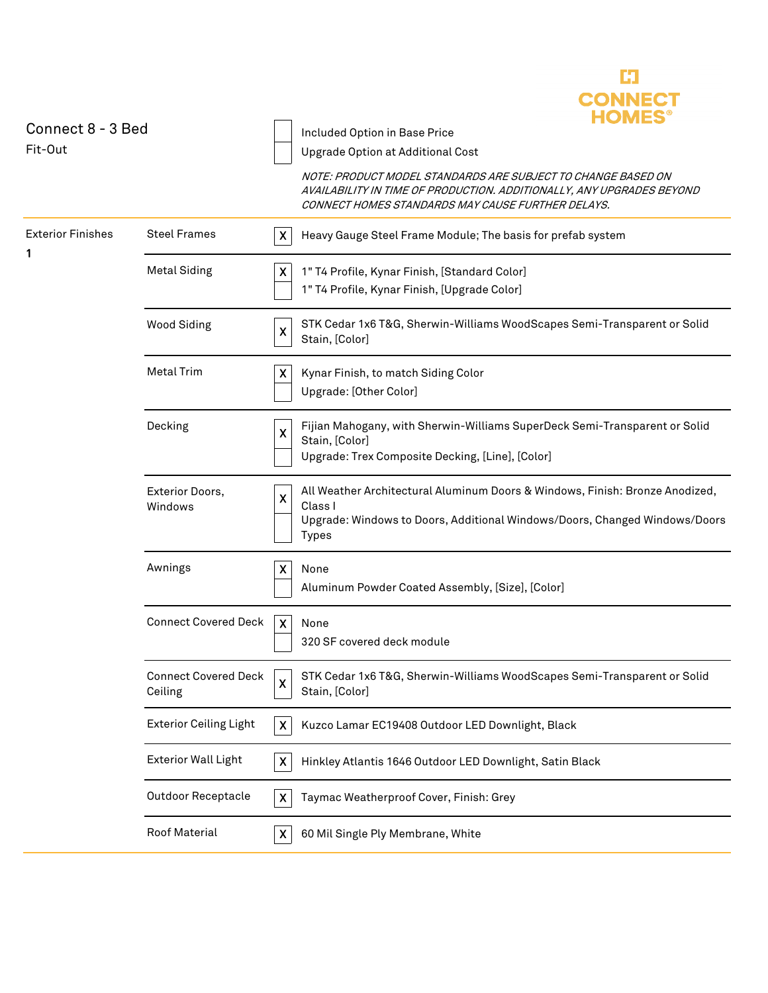|                               |                                        |                           | <b>CONNECT</b><br><b>HOMES</b>                                                                                                                                                             |
|-------------------------------|----------------------------------------|---------------------------|--------------------------------------------------------------------------------------------------------------------------------------------------------------------------------------------|
| Connect 8 - 3 Bed             |                                        |                           | Included Option in Base Price                                                                                                                                                              |
| Fit-Out                       |                                        |                           | Upgrade Option at Additional Cost                                                                                                                                                          |
|                               |                                        |                           | NOTE: PRODUCT MODEL STANDARDS ARE SUBJECT TO CHANGE BASED ON<br>AVAILABILITY IN TIME OF PRODUCTION. ADDITIONALLY, ANY UPGRADES BEYOND<br>CONNECT HOMES STANDARDS MAY CAUSE FURTHER DELAYS. |
| <b>Exterior Finishes</b><br>1 | <b>Steel Frames</b>                    | X                         | Heavy Gauge Steel Frame Module; The basis for prefab system                                                                                                                                |
|                               | <b>Metal Siding</b>                    | $\pmb{\times}$            | 1" T4 Profile, Kynar Finish, [Standard Color]                                                                                                                                              |
|                               |                                        |                           | 1" T4 Profile, Kynar Finish, [Upgrade Color]                                                                                                                                               |
|                               | <b>Wood Siding</b>                     | X                         | STK Cedar 1x6 T&G, Sherwin-Williams WoodScapes Semi-Transparent or Solid<br>Stain, [Color]                                                                                                 |
|                               | <b>Metal Trim</b>                      | X                         | Kynar Finish, to match Siding Color                                                                                                                                                        |
|                               |                                        |                           | Upgrade: [Other Color]                                                                                                                                                                     |
|                               | Decking                                | $\boldsymbol{\mathsf{x}}$ | Fijian Mahogany, with Sherwin-Williams SuperDeck Semi-Transparent or Solid                                                                                                                 |
|                               |                                        |                           | Stain, [Color]<br>Upgrade: Trex Composite Decking, [Line], [Color]                                                                                                                         |
|                               | Exterior Doors,                        | $\boldsymbol{\mathsf{X}}$ | All Weather Architectural Aluminum Doors & Windows, Finish: Bronze Anodized,                                                                                                               |
|                               | Windows                                |                           | Class I<br>Upgrade: Windows to Doors, Additional Windows/Doors, Changed Windows/Doors<br><b>Types</b>                                                                                      |
|                               | Awnings                                | $\boldsymbol{\mathsf{x}}$ | None                                                                                                                                                                                       |
|                               |                                        |                           | Aluminum Powder Coated Assembly, [Size], [Color]                                                                                                                                           |
|                               | <b>Connect Covered Deck</b>            | $\boldsymbol{\mathsf{X}}$ | None                                                                                                                                                                                       |
|                               |                                        |                           | 320 SF covered deck module                                                                                                                                                                 |
|                               | <b>Connect Covered Deck</b><br>Ceiling | $\boldsymbol{\mathsf{x}}$ | STK Cedar 1x6 T&G, Sherwin-Williams WoodScapes Semi-Transparent or Solid<br>Stain, [Color]                                                                                                 |
|                               | <b>Exterior Ceiling Light</b>          | X                         | Kuzco Lamar EC19408 Outdoor LED Downlight, Black                                                                                                                                           |
|                               | <b>Exterior Wall Light</b>             | $\pmb{\times}$            | Hinkley Atlantis 1646 Outdoor LED Downlight, Satin Black                                                                                                                                   |
|                               | <b>Outdoor Receptacle</b>              | $\pmb{\times}$            | Taymac Weatherproof Cover, Finish: Grey                                                                                                                                                    |
|                               | Roof Material                          | $\boldsymbol{\mathsf{X}}$ | 60 Mil Single Ply Membrane, White                                                                                                                                                          |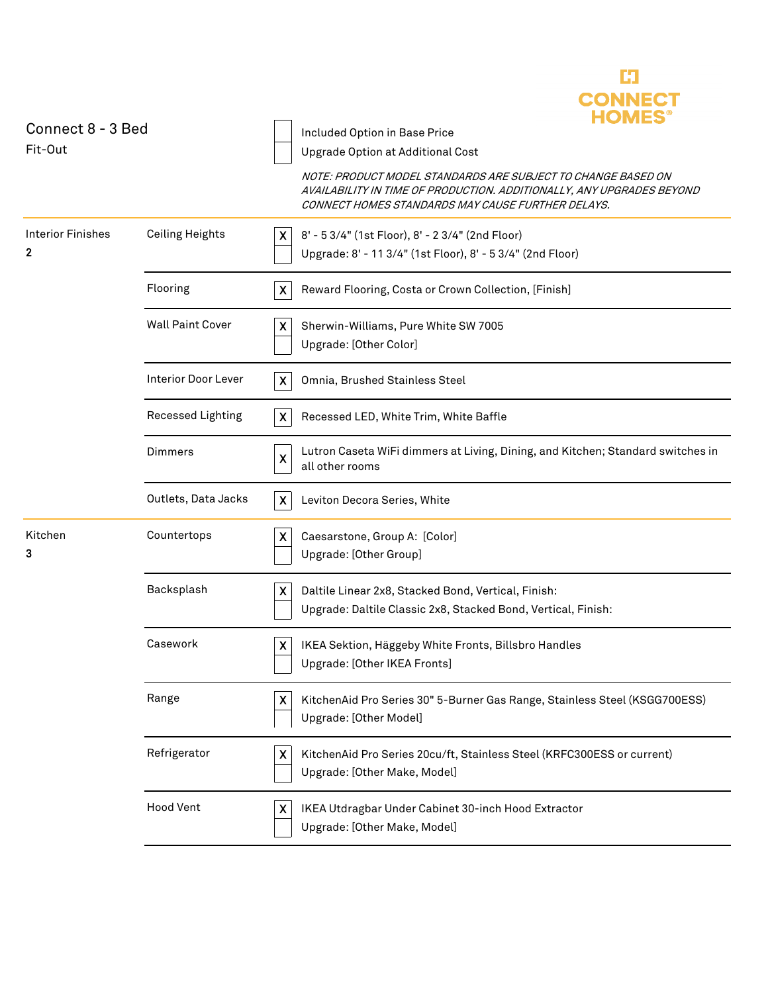| Connect 8 - 3 Bed<br>Fit-Out  |                            | <b>CONNECT</b><br>FIONIES<br>Included Option in Base Price<br>Upgrade Option at Additional Cost<br>NOTE: PRODUCT MODEL STANDARDS ARE SUBJECT TO CHANGE BASED ON<br>AVAILABILITY IN TIME OF PRODUCTION. ADDITIONALLY, ANY UPGRADES BEYOND<br>CONNECT HOMES STANDARDS MAY CAUSE FURTHER DELAYS. |
|-------------------------------|----------------------------|-----------------------------------------------------------------------------------------------------------------------------------------------------------------------------------------------------------------------------------------------------------------------------------------------|
| <b>Interior Finishes</b><br>2 | <b>Ceiling Heights</b>     | 8' - 5 3/4" (1st Floor), 8' - 2 3/4" (2nd Floor)<br>X<br>Upgrade: 8' - 11 3/4" (1st Floor), 8' - 5 3/4" (2nd Floor)                                                                                                                                                                           |
|                               | Flooring                   | X<br>Reward Flooring, Costa or Crown Collection, [Finish]                                                                                                                                                                                                                                     |
|                               | <b>Wall Paint Cover</b>    | $\pmb{\mathsf{X}}$<br>Sherwin-Williams, Pure White SW 7005<br>Upgrade: [Other Color]                                                                                                                                                                                                          |
|                               | <b>Interior Door Lever</b> | X<br>Omnia, Brushed Stainless Steel                                                                                                                                                                                                                                                           |
|                               | Recessed Lighting          | $\pmb{\times}$<br>Recessed LED, White Trim, White Baffle                                                                                                                                                                                                                                      |
|                               | Dimmers                    | Lutron Caseta WiFi dimmers at Living, Dining, and Kitchen; Standard switches in<br>X<br>all other rooms                                                                                                                                                                                       |
|                               | Outlets, Data Jacks        | $\boldsymbol{\mathsf{X}}$<br>Leviton Decora Series, White                                                                                                                                                                                                                                     |
| Kitchen<br>3                  | Countertops                | Caesarstone, Group A: [Color]<br>X<br>Upgrade: [Other Group]                                                                                                                                                                                                                                  |
|                               | Backsplash                 | X<br>Daltile Linear 2x8, Stacked Bond, Vertical, Finish:<br>Upgrade: Daltile Classic 2x8, Stacked Bond, Vertical, Finish:                                                                                                                                                                     |
|                               | Casework                   | IKEA Sektion, Häggeby White Fronts, Billsbro Handles<br>X<br>Upgrade: [Other IKEA Fronts]                                                                                                                                                                                                     |
|                               | Range                      | KitchenAid Pro Series 30" 5-Burner Gas Range, Stainless Steel (KSGG700ESS)<br>X<br>Upgrade: [Other Model]                                                                                                                                                                                     |
|                               | Refrigerator               | X<br>KitchenAid Pro Series 20cu/ft, Stainless Steel (KRFC300ESS or current)<br>Upgrade: [Other Make, Model]                                                                                                                                                                                   |
|                               | <b>Hood Vent</b>           | X<br>IKEA Utdragbar Under Cabinet 30-inch Hood Extractor<br>Upgrade: [Other Make, Model]                                                                                                                                                                                                      |
|                               |                            |                                                                                                                                                                                                                                                                                               |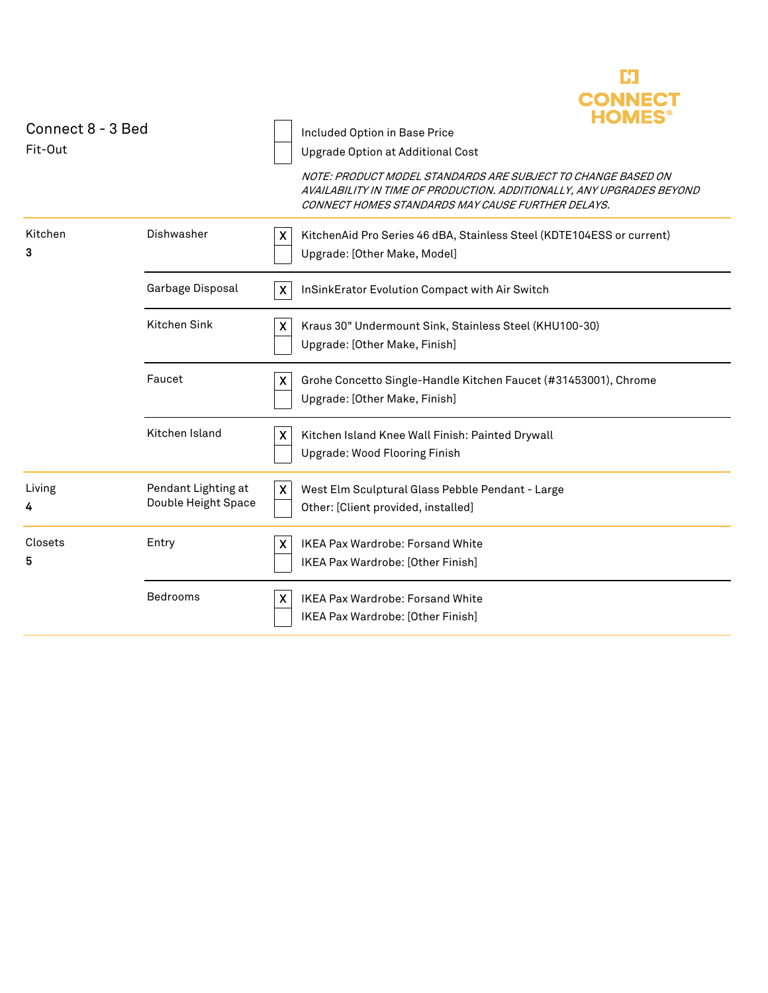|                   |                                            |                           | <b>CONNECT</b><br><b>HOMES</b>                                                                                                                                                             |
|-------------------|--------------------------------------------|---------------------------|--------------------------------------------------------------------------------------------------------------------------------------------------------------------------------------------|
| Connect 8 - 3 Bed |                                            |                           | Included Option in Base Price                                                                                                                                                              |
| Fit-Out           |                                            |                           | Upgrade Option at Additional Cost                                                                                                                                                          |
|                   |                                            |                           | NOTE: PRODUCT MODEL STANDARDS ARE SUBJECT TO CHANGE BASED ON<br>AVAILABILITY IN TIME OF PRODUCTION. ADDITIONALLY, ANY UPGRADES BEYOND<br>CONNECT HOMES STANDARDS MAY CAUSE FURTHER DELAYS. |
| Kitchen<br>3      | Dishwasher                                 | $\boldsymbol{\mathsf{X}}$ | KitchenAid Pro Series 46 dBA, Stainless Steel (KDTE104ESS or current)<br>Upgrade: [Other Make, Model]                                                                                      |
|                   | Garbage Disposal                           | X                         | InSinkErator Evolution Compact with Air Switch                                                                                                                                             |
|                   | Kitchen Sink                               | X                         | Kraus 30" Undermount Sink, Stainless Steel (KHU100-30)<br>Upgrade: [Other Make, Finish]                                                                                                    |
|                   | Faucet                                     | X                         | Grohe Concetto Single-Handle Kitchen Faucet (#31453001), Chrome<br>Upgrade: [Other Make, Finish]                                                                                           |
|                   | Kitchen Island                             | $\pmb{\mathsf{X}}$        | Kitchen Island Knee Wall Finish: Painted Drywall<br><b>Upgrade: Wood Flooring Finish</b>                                                                                                   |
| Living<br>4       | Pendant Lighting at<br>Double Height Space | X                         | West Elm Sculptural Glass Pebble Pendant - Large<br>Other: [Client provided, installed]                                                                                                    |
| Closets<br>5      | Entry                                      | X                         | IKEA Pax Wardrobe: Forsand White<br>IKEA Pax Wardrobe: [Other Finish]                                                                                                                      |
|                   | Bedrooms                                   | X                         | <b>IKEA Pax Wardrobe: Forsand White</b><br><b>IKEA Pax Wardrobe: [Other Finish]</b>                                                                                                        |

63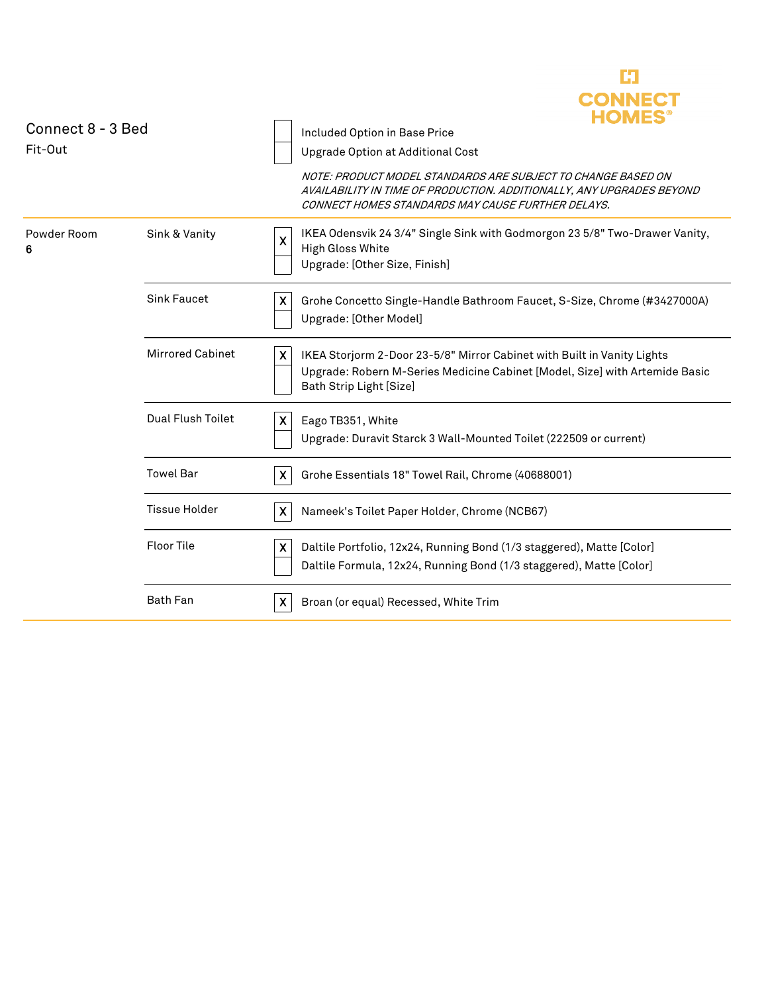| Connect 8 - 3 Bed<br>Fit-Out |                         |                           | CONNE<br>Included Option in Base Price<br>Upgrade Option at Additional Cost<br>NOTE: PRODUCT MODEL STANDARDS ARE SUBJECT TO CHANGE BASED ON<br>AVAILABILITY IN TIME OF PRODUCTION. ADDITIONALLY, ANY UPGRADES BEYOND<br>CONNECT HOMES STANDARDS MAY CAUSE FURTHER DELAYS. |
|------------------------------|-------------------------|---------------------------|---------------------------------------------------------------------------------------------------------------------------------------------------------------------------------------------------------------------------------------------------------------------------|
| Powder Room<br>6             | Sink & Vanity           | X                         | IKEA Odensvik 24 3/4" Single Sink with Godmorgon 23 5/8" Two-Drawer Vanity,<br>High Gloss White<br>Upgrade: [Other Size, Finish]                                                                                                                                          |
|                              | <b>Sink Faucet</b>      | X                         | Grohe Concetto Single-Handle Bathroom Faucet, S-Size, Chrome (#3427000A)<br>Upgrade: [Other Model]                                                                                                                                                                        |
|                              | <b>Mirrored Cabinet</b> | X                         | IKEA Storjorm 2-Door 23-5/8" Mirror Cabinet with Built in Vanity Lights<br>Upgrade: Robern M-Series Medicine Cabinet [Model, Size] with Artemide Basic<br>Bath Strip Light [Size]                                                                                         |
|                              | Dual Flush Toilet       | X                         | Eago TB351, White<br>Upgrade: Duravit Starck 3 Wall-Mounted Toilet (222509 or current)                                                                                                                                                                                    |
|                              | <b>Towel Bar</b>        | X                         | Grohe Essentials 18" Towel Rail, Chrome (40688001)                                                                                                                                                                                                                        |
|                              | <b>Tissue Holder</b>    | $\boldsymbol{\mathsf{X}}$ | Nameek's Toilet Paper Holder, Chrome (NCB67)                                                                                                                                                                                                                              |
|                              | <b>Floor Tile</b>       | X                         | Daltile Portfolio, 12x24, Running Bond (1/3 staggered), Matte [Color]<br>Daltile Formula, 12x24, Running Bond (1/3 staggered), Matte [Color]                                                                                                                              |
|                              | <b>Bath Fan</b>         | X                         | Broan (or equal) Recessed, White Trim                                                                                                                                                                                                                                     |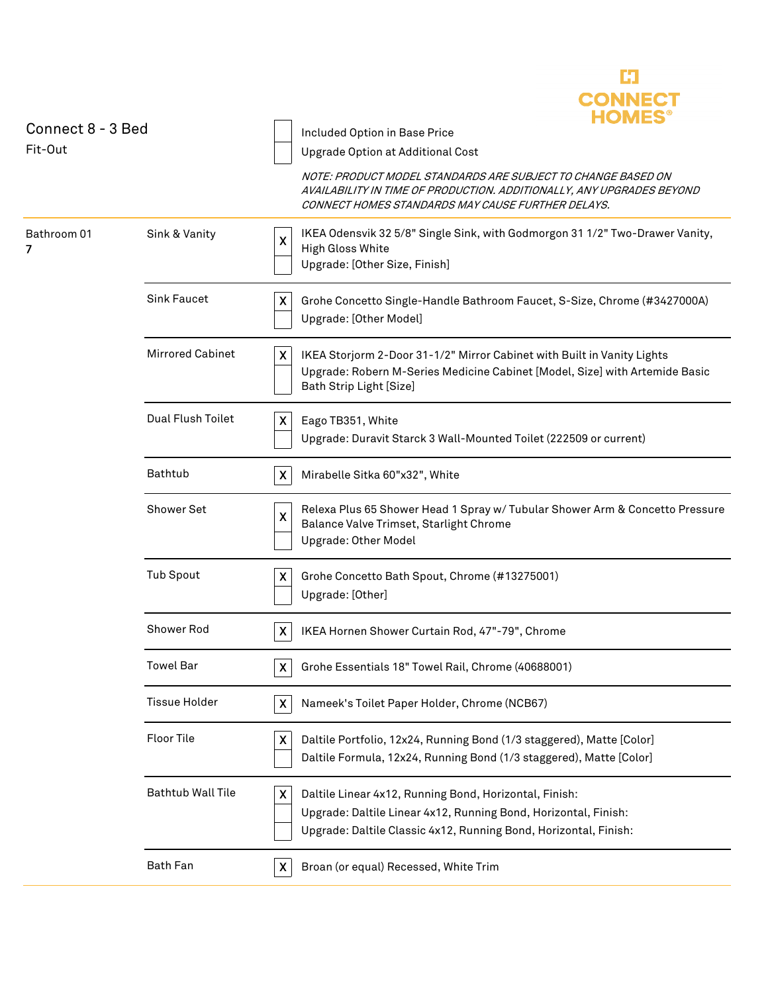| Connect 8 - 3 Bed<br>Fit-Out |                         | <b>CONNEC</b><br>HOMES<br>Included Option in Base Price<br>Upgrade Option at Additional Cost                                                                                                       |
|------------------------------|-------------------------|----------------------------------------------------------------------------------------------------------------------------------------------------------------------------------------------------|
|                              |                         | NOTE: PRODUCT MODEL STANDARDS ARE SUBJECT TO CHANGE BASED ON<br>AVAILABILITY IN TIME OF PRODUCTION. ADDITIONALLY, ANY UPGRADES BEYOND<br>CONNECT HOMES STANDARDS MAY CAUSE FURTHER DELAYS.         |
| Bathroom 01<br>7             | Sink & Vanity           | IKEA Odensvik 32 5/8" Single Sink, with Godmorgon 31 1/2" Two-Drawer Vanity,<br>χ<br>High Gloss White<br>Upgrade: [Other Size, Finish]                                                             |
|                              | <b>Sink Faucet</b>      | X<br>Grohe Concetto Single-Handle Bathroom Faucet, S-Size, Chrome (#3427000A)<br>Upgrade: [Other Model]                                                                                            |
|                              | <b>Mirrored Cabinet</b> | X<br>IKEA Storjorm 2-Door 31-1/2" Mirror Cabinet with Built in Vanity Lights<br>Upgrade: Robern M-Series Medicine Cabinet [Model, Size] with Artemide Basic<br>Bath Strip Light [Size]             |
|                              | Dual Flush Toilet       | Eago TB351, White<br>X<br>Upgrade: Duravit Starck 3 Wall-Mounted Toilet (222509 or current)                                                                                                        |
|                              | Bathtub                 | Mirabelle Sitka 60"x32", White<br>X                                                                                                                                                                |
|                              | <b>Shower Set</b>       | Relexa Plus 65 Shower Head 1 Spray w/ Tubular Shower Arm & Concetto Pressure<br>X<br>Balance Valve Trimset, Starlight Chrome<br>Upgrade: Other Model                                               |
|                              | <b>Tub Spout</b>        | χ<br>Grohe Concetto Bath Spout, Chrome (#13275001)<br>Upgrade: [Other]                                                                                                                             |
|                              | Shower Rod              | IKEA Hornen Shower Curtain Rod, 47"-79", Chrome<br>X                                                                                                                                               |
|                              | <b>Towel Bar</b>        | χ<br>Grohe Essentials 18" Towel Rail, Chrome (40688001)                                                                                                                                            |
|                              | <b>Tissue Holder</b>    | Nameek's Toilet Paper Holder, Chrome (NCB67)<br>$\boldsymbol{\mathsf{X}}$                                                                                                                          |
|                              | <b>Floor Tile</b>       | Daltile Portfolio, 12x24, Running Bond (1/3 staggered), Matte [Color]<br>X<br>Daltile Formula, 12x24, Running Bond (1/3 staggered), Matte [Color]                                                  |
|                              | Bathtub Wall Tile       | Daltile Linear 4x12, Running Bond, Horizontal, Finish:<br>X<br>Upgrade: Daltile Linear 4x12, Running Bond, Horizontal, Finish:<br>Upgrade: Daltile Classic 4x12, Running Bond, Horizontal, Finish: |
|                              | <b>Bath Fan</b>         | Broan (or equal) Recessed, White Trim<br>$\boldsymbol{\mathsf{X}}$                                                                                                                                 |
|                              |                         |                                                                                                                                                                                                    |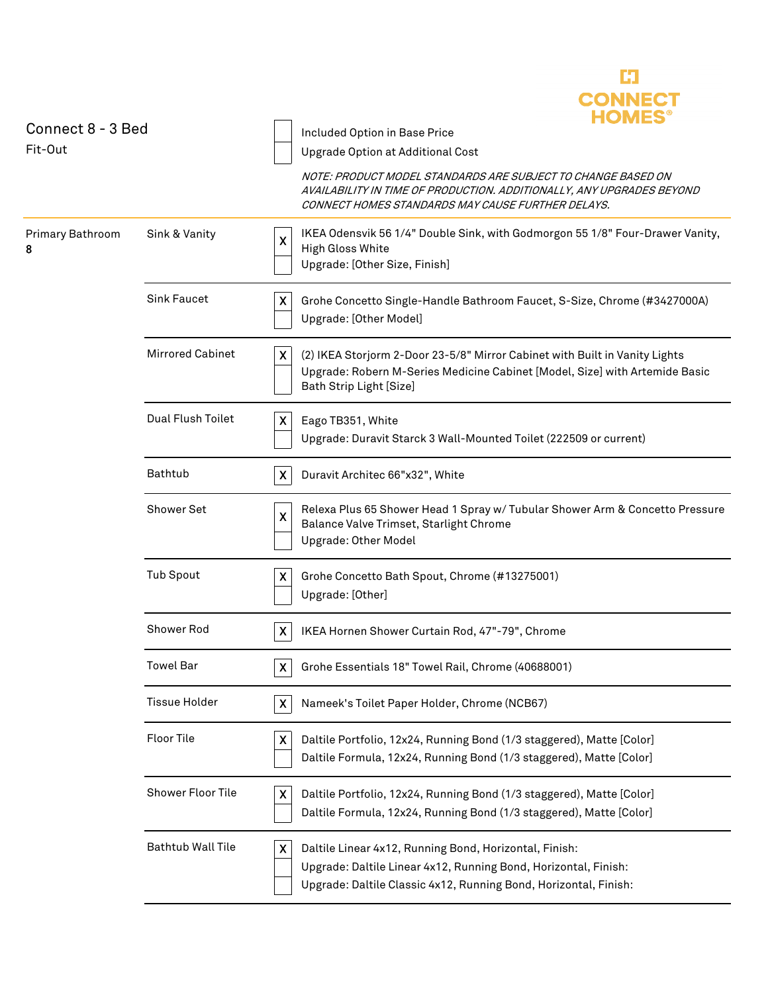| Connect 8 - 3 Bed<br>Fit-Out |                          | <b>CONNECT</b><br>Included Option in Base Price                                                                                                                                                    |
|------------------------------|--------------------------|----------------------------------------------------------------------------------------------------------------------------------------------------------------------------------------------------|
|                              |                          | Upgrade Option at Additional Cost                                                                                                                                                                  |
|                              |                          | NOTE: PRODUCT MODEL STANDARDS ARE SUBJECT TO CHANGE BASED ON<br>AVAILABILITY IN TIME OF PRODUCTION. ADDITIONALLY, ANY UPGRADES BEYOND<br>CONNECT HOMES STANDARDS MAY CAUSE FURTHER DELAYS.         |
| Primary Bathroom<br>8        | Sink & Vanity            | IKEA Odensvik 56 1/4" Double Sink, with Godmorgon 55 1/8" Four-Drawer Vanity,<br>X<br>High Gloss White<br>Upgrade: [Other Size, Finish]                                                            |
|                              | <b>Sink Faucet</b>       | X<br>Grohe Concetto Single-Handle Bathroom Faucet, S-Size, Chrome (#3427000A)<br>Upgrade: [Other Model]                                                                                            |
|                              | <b>Mirrored Cabinet</b>  | X<br>(2) IKEA Storjorm 2-Door 23-5/8" Mirror Cabinet with Built in Vanity Lights<br>Upgrade: Robern M-Series Medicine Cabinet [Model, Size] with Artemide Basic<br>Bath Strip Light [Size]         |
|                              | Dual Flush Toilet        | Eago TB351, White<br>X<br>Upgrade: Duravit Starck 3 Wall-Mounted Toilet (222509 or current)                                                                                                        |
|                              | Bathtub                  | X<br>Duravit Architec 66"x32", White                                                                                                                                                               |
|                              | <b>Shower Set</b>        | Relexa Plus 65 Shower Head 1 Spray w/ Tubular Shower Arm & Concetto Pressure<br>χ<br>Balance Valve Trimset, Starlight Chrome<br>Upgrade: Other Model                                               |
|                              | <b>Tub Spout</b>         | Grohe Concetto Bath Spout, Chrome (#13275001)<br>X<br>Upgrade: [Other]                                                                                                                             |
|                              | Shower Rod               | IKEA Hornen Shower Curtain Rod, 47"-79", Chrome<br>X                                                                                                                                               |
|                              | <b>Towel Bar</b>         | Grohe Essentials 18" Towel Rail, Chrome (40688001)<br>X                                                                                                                                            |
|                              | <b>Tissue Holder</b>     | $\boldsymbol{\mathsf{X}}$<br>Nameek's Toilet Paper Holder, Chrome (NCB67)                                                                                                                          |
|                              | Floor Tile               | X<br>Daltile Portfolio, 12x24, Running Bond (1/3 staggered), Matte [Color]<br>Daltile Formula, 12x24, Running Bond (1/3 staggered), Matte [Color]                                                  |
|                              | Shower Floor Tile        | X<br>Daltile Portfolio, 12x24, Running Bond (1/3 staggered), Matte [Color]<br>Daltile Formula, 12x24, Running Bond (1/3 staggered), Matte [Color]                                                  |
|                              | <b>Bathtub Wall Tile</b> | Daltile Linear 4x12, Running Bond, Horizontal, Finish:<br>X<br>Upgrade: Daltile Linear 4x12, Running Bond, Horizontal, Finish:<br>Upgrade: Daltile Classic 4x12, Running Bond, Horizontal, Finish: |